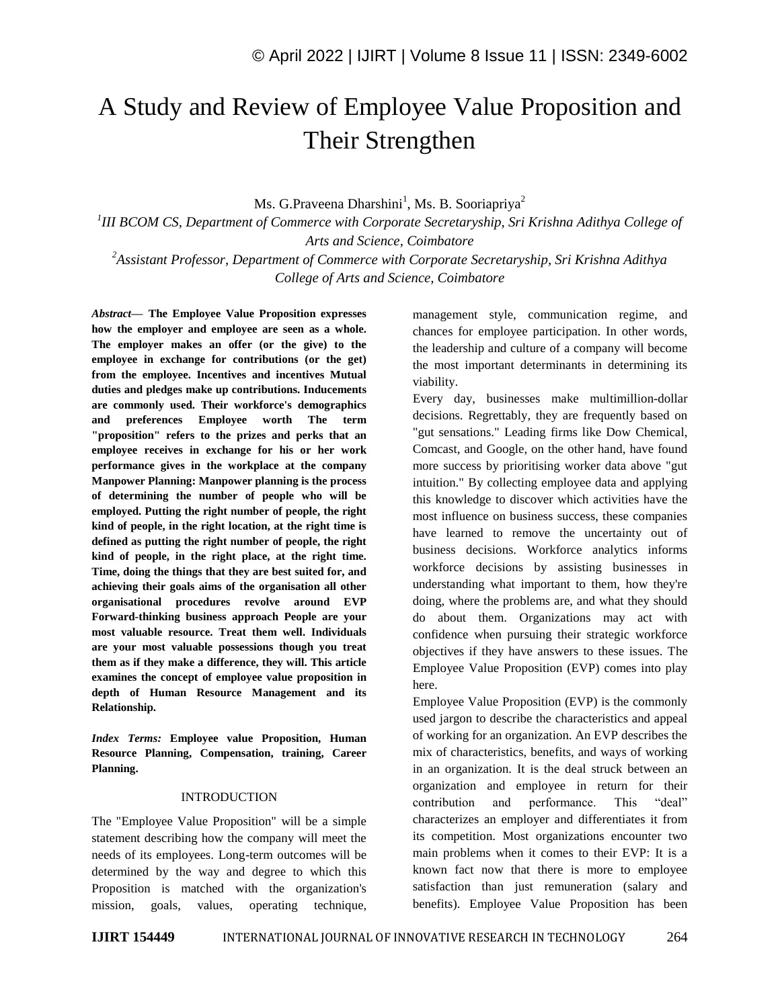# A Study and Review of Employee Value Proposition and Their Strengthen

Ms. G.Praveena Dharshini<sup>1</sup>, Ms. B. Sooriapriya<sup>2</sup>

*1 III BCOM CS, Department of Commerce with Corporate Secretaryship, Sri Krishna Adithya College of Arts and Science, Coimbatore*

*<sup>2</sup>Assistant Professor, Department of Commerce with Corporate Secretaryship, Sri Krishna Adithya College of Arts and Science, Coimbatore*

*Abstract—* **The Employee Value Proposition expresses how the employer and employee are seen as a whole. The employer makes an offer (or the give) to the employee in exchange for contributions (or the get) from the employee. Incentives and incentives Mutual duties and pledges make up contributions. Inducements are commonly used. Their workforce's demographics and preferences Employee worth The term "proposition" refers to the prizes and perks that an employee receives in exchange for his or her work performance gives in the workplace at the company Manpower Planning: Manpower planning is the process of determining the number of people who will be employed. Putting the right number of people, the right kind of people, in the right location, at the right time is defined as putting the right number of people, the right kind of people, in the right place, at the right time. Time, doing the things that they are best suited for, and achieving their goals aims of the organisation all other organisational procedures revolve around EVP Forward-thinking business approach People are your most valuable resource. Treat them well. Individuals are your most valuable possessions though you treat them as if they make a difference, they will. This article examines the concept of employee value proposition in depth of Human Resource Management and its Relationship.**

*Index Terms:* **Employee value Proposition, Human Resource Planning, Compensation, training, Career Planning.**

### INTRODUCTION

The "Employee Value Proposition" will be a simple statement describing how the company will meet the needs of its employees. Long-term outcomes will be determined by the way and degree to which this Proposition is matched with the organization's mission, goals, values, operating technique, management style, communication regime, and chances for employee participation. In other words, the leadership and culture of a company will become the most important determinants in determining its viability.

Every day, businesses make multimillion-dollar decisions. Regrettably, they are frequently based on "gut sensations." Leading firms like Dow Chemical, Comcast, and Google, on the other hand, have found more success by prioritising worker data above "gut intuition." By collecting employee data and applying this knowledge to discover which activities have the most influence on business success, these companies have learned to remove the uncertainty out of business decisions. Workforce analytics informs workforce decisions by assisting businesses in understanding what important to them, how they're doing, where the problems are, and what they should do about them. Organizations may act with confidence when pursuing their strategic workforce objectives if they have answers to these issues. The Employee Value Proposition (EVP) comes into play here.

Employee Value Proposition (EVP) is the commonly used jargon to describe the characteristics and appeal of working for an organization. An EVP describes the mix of characteristics, benefits, and ways of working in an organization. It is the deal struck between an organization and employee in return for their contribution and performance. This "deal" characterizes an employer and differentiates it from its competition. Most organizations encounter two main problems when it comes to their EVP: It is a known fact now that there is more to employee satisfaction than just remuneration (salary and benefits). Employee Value Proposition has been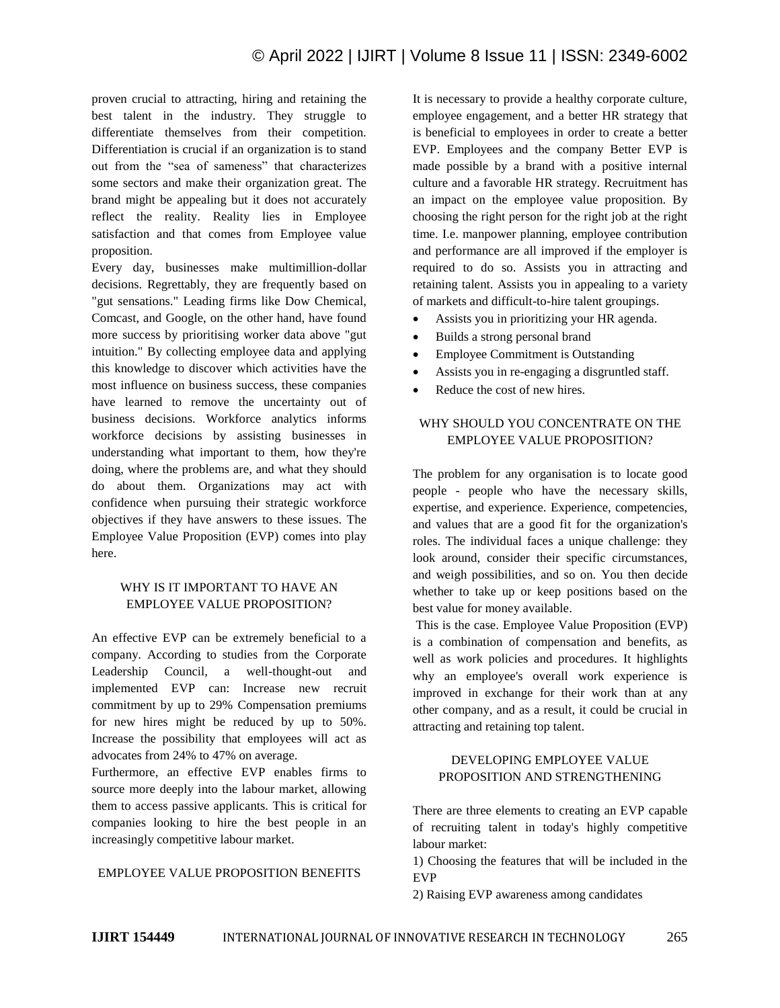proven crucial to attracting, hiring and retaining the best talent in the industry. They struggle to differentiate themselves from their competition. Differentiation is crucial if an organization is to stand out from the "sea of sameness" that characterizes some sectors and make their organization great. The brand might be appealing but it does not accurately reflect the reality. Reality lies in Employee satisfaction and that comes from Employee value proposition.

Every day, businesses make multimillion-dollar decisions. Regrettably, they are frequently based on "gut sensations." Leading firms like Dow Chemical, Comcast, and Google, on the other hand, have found more success by prioritising worker data above "gut intuition." By collecting employee data and applying this knowledge to discover which activities have the most influence on business success, these companies have learned to remove the uncertainty out of business decisions. Workforce analytics informs workforce decisions by assisting businesses in understanding what important to them, how they're doing, where the problems are, and what they should do about them. Organizations may act with confidence when pursuing their strategic workforce objectives if they have answers to these issues. The Employee Value Proposition (EVP) comes into play here.

# WHY IS IT IMPORTANT TO HAVE AN EMPLOYEE VALUE PROPOSITION?

An effective EVP can be extremely beneficial to a company. According to studies from the Corporate Leadership Council, a well-thought-out and implemented EVP can: Increase new recruit commitment by up to 29% Compensation premiums for new hires might be reduced by up to 50%. Increase the possibility that employees will act as advocates from 24% to 47% on average.

Furthermore, an effective EVP enables firms to source more deeply into the labour market, allowing them to access passive applicants. This is critical for companies looking to hire the best people in an increasingly competitive labour market.

## EMPLOYEE VALUE PROPOSITION BENEFITS

It is necessary to provide a healthy corporate culture, employee engagement, and a better HR strategy that is beneficial to employees in order to create a better EVP. Employees and the company Better EVP is made possible by a brand with a positive internal culture and a favorable HR strategy. Recruitment has an impact on the employee value proposition. By choosing the right person for the right job at the right time. I.e. manpower planning, employee contribution and performance are all improved if the employer is required to do so. Assists you in attracting and retaining talent. Assists you in appealing to a variety of markets and difficult-to-hire talent groupings.

- Assists you in prioritizing your HR agenda.
- Builds a strong personal brand
- Employee Commitment is Outstanding
- Assists you in re-engaging a disgruntled staff.
- Reduce the cost of new hires.

# WHY SHOULD YOU CONCENTRATE ON THE EMPLOYEE VALUE PROPOSITION?

The problem for any organisation is to locate good people - people who have the necessary skills, expertise, and experience. Experience, competencies, and values that are a good fit for the organization's roles. The individual faces a unique challenge: they look around, consider their specific circumstances, and weigh possibilities, and so on. You then decide whether to take up or keep positions based on the best value for money available.

This is the case. Employee Value Proposition (EVP) is a combination of compensation and benefits, as well as work policies and procedures. It highlights why an employee's overall work experience is improved in exchange for their work than at any other company, and as a result, it could be crucial in attracting and retaining top talent.

## DEVELOPING EMPLOYEE VALUE PROPOSITION AND STRENGTHENING

There are three elements to creating an EVP capable of recruiting talent in today's highly competitive labour market:

1) Choosing the features that will be included in the EVP

2) Raising EVP awareness among candidates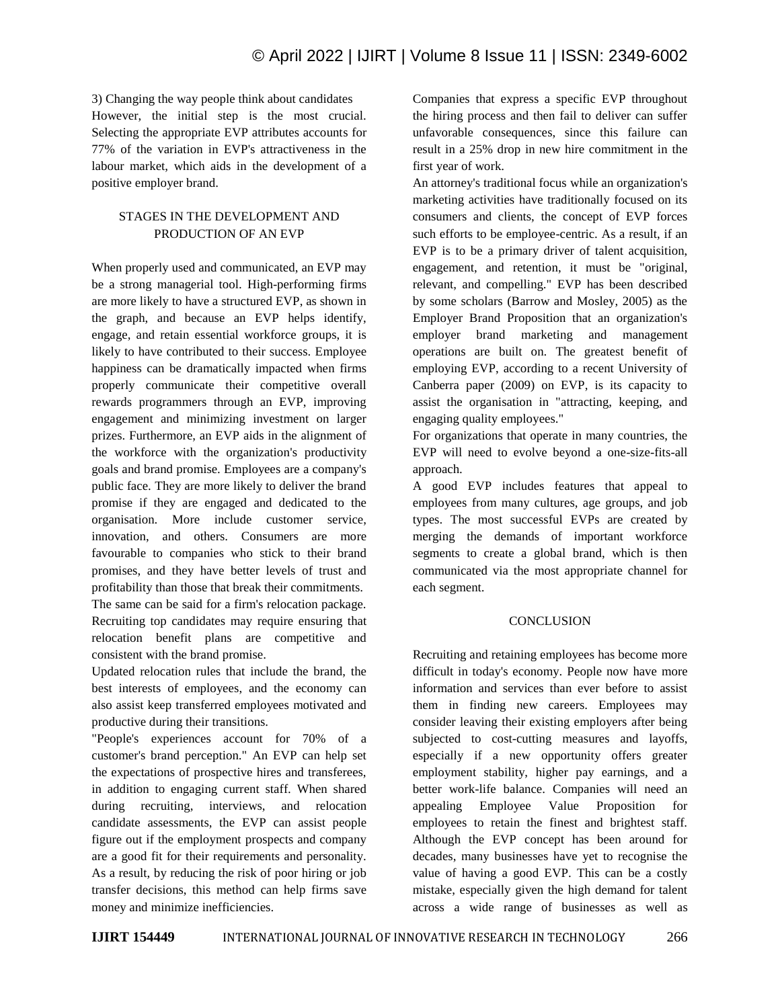3) Changing the way people think about candidates However, the initial step is the most crucial. Selecting the appropriate EVP attributes accounts for 77% of the variation in EVP's attractiveness in the labour market, which aids in the development of a positive employer brand.

## STAGES IN THE DEVELOPMENT AND PRODUCTION OF AN EVP

When properly used and communicated, an EVP may be a strong managerial tool. High-performing firms are more likely to have a structured EVP, as shown in the graph, and because an EVP helps identify, engage, and retain essential workforce groups, it is likely to have contributed to their success. Employee happiness can be dramatically impacted when firms properly communicate their competitive overall rewards programmers through an EVP, improving engagement and minimizing investment on larger prizes. Furthermore, an EVP aids in the alignment of the workforce with the organization's productivity goals and brand promise. Employees are a company's public face. They are more likely to deliver the brand promise if they are engaged and dedicated to the organisation. More include customer service, innovation, and others. Consumers are more favourable to companies who stick to their brand promises, and they have better levels of trust and profitability than those that break their commitments. The same can be said for a firm's relocation package.

Recruiting top candidates may require ensuring that relocation benefit plans are competitive and consistent with the brand promise.

Updated relocation rules that include the brand, the best interests of employees, and the economy can also assist keep transferred employees motivated and productive during their transitions.

"People's experiences account for 70% of a customer's brand perception." An EVP can help set the expectations of prospective hires and transferees, in addition to engaging current staff. When shared during recruiting, interviews, and relocation candidate assessments, the EVP can assist people figure out if the employment prospects and company are a good fit for their requirements and personality. As a result, by reducing the risk of poor hiring or job transfer decisions, this method can help firms save money and minimize inefficiencies.

Companies that express a specific EVP throughout the hiring process and then fail to deliver can suffer unfavorable consequences, since this failure can result in a 25% drop in new hire commitment in the first year of work.

An attorney's traditional focus while an organization's marketing activities have traditionally focused on its consumers and clients, the concept of EVP forces such efforts to be employee-centric. As a result, if an EVP is to be a primary driver of talent acquisition, engagement, and retention, it must be "original, relevant, and compelling." EVP has been described by some scholars (Barrow and Mosley, 2005) as the Employer Brand Proposition that an organization's employer brand marketing and management operations are built on. The greatest benefit of employing EVP, according to a recent University of Canberra paper (2009) on EVP, is its capacity to assist the organisation in "attracting, keeping, and engaging quality employees."

For organizations that operate in many countries, the EVP will need to evolve beyond a one-size-fits-all approach.

A good EVP includes features that appeal to employees from many cultures, age groups, and job types. The most successful EVPs are created by merging the demands of important workforce segments to create a global brand, which is then communicated via the most appropriate channel for each segment.

# **CONCLUSION**

Recruiting and retaining employees has become more difficult in today's economy. People now have more information and services than ever before to assist them in finding new careers. Employees may consider leaving their existing employers after being subjected to cost-cutting measures and layoffs, especially if a new opportunity offers greater employment stability, higher pay earnings, and a better work-life balance. Companies will need an appealing Employee Value Proposition for employees to retain the finest and brightest staff. Although the EVP concept has been around for decades, many businesses have yet to recognise the value of having a good EVP. This can be a costly mistake, especially given the high demand for talent across a wide range of businesses as well as